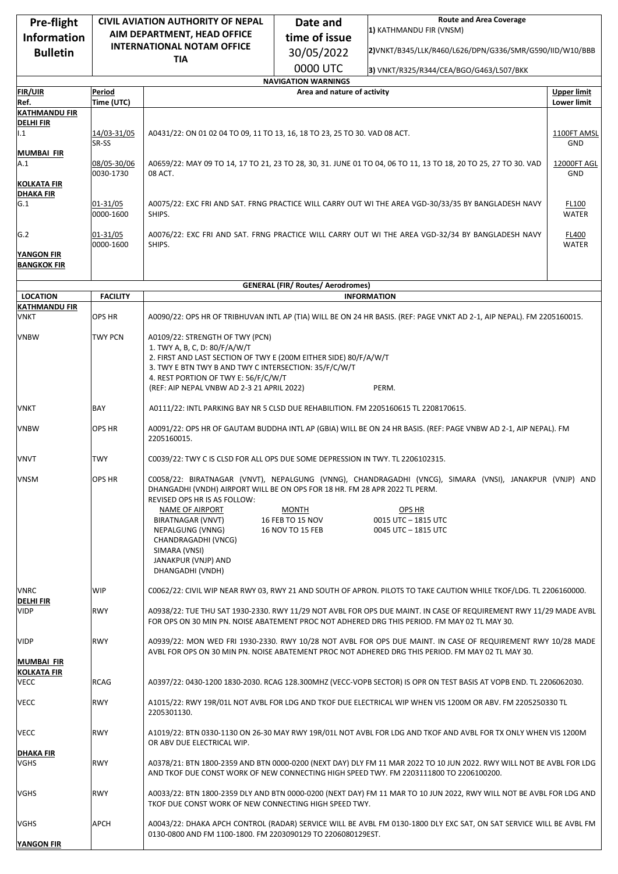| Pre-flight                               | <b>CIVIL AVIATION AUTHORITY OF NEPAL</b> |                                                                                                                                                                                                                                                                                              | Date and                                             | <b>Route and Area Coverage</b>                                                                                                                                 |                    |  |  |  |  |
|------------------------------------------|------------------------------------------|----------------------------------------------------------------------------------------------------------------------------------------------------------------------------------------------------------------------------------------------------------------------------------------------|------------------------------------------------------|----------------------------------------------------------------------------------------------------------------------------------------------------------------|--------------------|--|--|--|--|
| <b>Information</b>                       | AIM DEPARTMENT, HEAD OFFICE              |                                                                                                                                                                                                                                                                                              | time of issue                                        | 1) KATHMANDU FIR (VNSM)                                                                                                                                        |                    |  |  |  |  |
| <b>Bulletin</b>                          |                                          | <b>INTERNATIONAL NOTAM OFFICE</b>                                                                                                                                                                                                                                                            | 30/05/2022                                           | 2) VNKT/B345/LLK/R460/L626/DPN/G336/SMR/G590/IID/W10/BBB                                                                                                       |                    |  |  |  |  |
|                                          |                                          | TIA                                                                                                                                                                                                                                                                                          |                                                      |                                                                                                                                                                |                    |  |  |  |  |
|                                          |                                          | 0000 UTC<br>3) VNKT/R325/R344/CEA/BGO/G463/L507/BKK<br><b>NAVIGATION WARNINGS</b>                                                                                                                                                                                                            |                                                      |                                                                                                                                                                |                    |  |  |  |  |
| <b>FIR/UIR</b>                           | Period                                   |                                                                                                                                                                                                                                                                                              | Area and nature of activity                          |                                                                                                                                                                | <b>Upper limit</b> |  |  |  |  |
| Ref.                                     | Time (UTC)                               |                                                                                                                                                                                                                                                                                              |                                                      |                                                                                                                                                                | Lower limit        |  |  |  |  |
| <b>KATHMANDU FIR</b>                     |                                          |                                                                                                                                                                                                                                                                                              |                                                      |                                                                                                                                                                |                    |  |  |  |  |
| <b>DELHI FIR</b><br>1.1                  | 14/03-31/05<br>SR-SS                     | A0431/22: ON 01 02 04 TO 09, 11 TO 13, 16, 18 TO 23, 25 TO 30. VAD 08 ACT.                                                                                                                                                                                                                   |                                                      |                                                                                                                                                                |                    |  |  |  |  |
| MUMBAI FIR<br>A.1<br><b>KOLKATA FIR</b>  | 08/05-30/06<br>0030-1730                 | A0659/22: MAY 09 TO 14, 17 TO 21, 23 TO 28, 30, 31. JUNE 01 TO 04, 06 TO 11, 13 TO 18, 20 TO 25, 27 TO 30. VAD<br>08 ACT.                                                                                                                                                                    |                                                      |                                                                                                                                                                |                    |  |  |  |  |
| <b>DHAKA FIR</b><br>G.1                  | 01-31/05<br>0000-1600                    | A0075/22: EXC FRI AND SAT. FRNG PRACTICE WILL CARRY OUT WI THE AREA VGD-30/33/35 BY BANGLADESH NAVY<br>FL100<br>SHIPS.<br><b>WATER</b>                                                                                                                                                       |                                                      |                                                                                                                                                                |                    |  |  |  |  |
| G.2                                      | 01-31/05<br>0000-1600                    | A0076/22: EXC FRI AND SAT. FRNG PRACTICE WILL CARRY OUT WI THE AREA VGD-32/34 BY BANGLADESH NAVY                                                                                                                                                                                             |                                                      |                                                                                                                                                                |                    |  |  |  |  |
| YANGON FIR<br><b>BANGKOK FIR</b>         |                                          | SHIPS.<br><b>WATER</b>                                                                                                                                                                                                                                                                       |                                                      |                                                                                                                                                                |                    |  |  |  |  |
| <b>GENERAL (FIR/ Routes/ Aerodromes)</b> |                                          |                                                                                                                                                                                                                                                                                              |                                                      |                                                                                                                                                                |                    |  |  |  |  |
| <b>LOCATION</b>                          | <b>FACILITY</b>                          |                                                                                                                                                                                                                                                                                              |                                                      | <b>INFORMATION</b>                                                                                                                                             |                    |  |  |  |  |
| <b>KATHMANDU FIR</b>                     |                                          |                                                                                                                                                                                                                                                                                              |                                                      |                                                                                                                                                                |                    |  |  |  |  |
| <b>VNKT</b>                              | <b>OPS HR</b>                            |                                                                                                                                                                                                                                                                                              |                                                      | A0090/22: OPS HR OF TRIBHUVAN INTL AP (TIA) WILL BE ON 24 HR BASIS. (REF: PAGE VNKT AD 2-1, AIP NEPAL). FM 2205160015.                                         |                    |  |  |  |  |
| <b>VNBW</b>                              | TWY PCN                                  | A0109/22: STRENGTH OF TWY (PCN)<br>1. TWY A, B, C, D: 80/F/A/W/T<br>2. FIRST AND LAST SECTION OF TWY E (200M EITHER SIDE) 80/F/A/W/T<br>3. TWY E BTN TWY B AND TWY C INTERSECTION: 35/F/C/W/T<br>4. REST PORTION OF TWY E: 56/F/C/W/T<br>(REF: AIP NEPAL VNBW AD 2-3 21 APRIL 2022)<br>PERM. |                                                      |                                                                                                                                                                |                    |  |  |  |  |
| VNKT                                     | <b>BAY</b>                               | A0111/22: INTL PARKING BAY NR 5 CLSD DUE REHABILITION. FM 2205160615 TL 2208170615.                                                                                                                                                                                                          |                                                      |                                                                                                                                                                |                    |  |  |  |  |
| <b>VNBW</b>                              | <b>OPS HR</b>                            | A0091/22: OPS HR OF GAUTAM BUDDHA INTL AP (GBIA) WILL BE ON 24 HR BASIS. (REF: PAGE VNBW AD 2-1, AIP NEPAL). FM<br>2205160015.                                                                                                                                                               |                                                      |                                                                                                                                                                |                    |  |  |  |  |
| <b>VNVT</b>                              | TWY                                      | C0039/22: TWY C IS CLSD FOR ALL OPS DUE SOME DEPRESSION IN TWY. TL 2206102315.                                                                                                                                                                                                               |                                                      |                                                                                                                                                                |                    |  |  |  |  |
| <b>VNSM</b>                              | <b>OPS HR</b>                            | DHANGADHI (VNDH) AIRPORT WILL BE ON OPS FOR 18 HR. FM 28 APR 2022 TL PERM.<br>REVISED OPS HR IS AS FOLLOW:<br>NAME OF AIRPORT<br>BIRATNAGAR (VNVT)<br>NEPALGUNG (VNNG)<br>CHANDRAGADHI (VNCG)<br>SIMARA (VNSI)<br>JANAKPUR (VNJP) AND<br>DHANGADHI (VNDH)                                    | <b>MONTH</b><br>16 FEB TO 15 NOV<br>16 NOV TO 15 FEB | C0058/22: BIRATNAGAR (VNVT), NEPALGUNG (VNNG), CHANDRAGADHI (VNCG), SIMARA (VNSI), JANAKPUR (VNJP) AND<br>OPS HR<br>0015 UTC - 1815 UTC<br>0045 UTC - 1815 UTC |                    |  |  |  |  |
| <b>VNRC</b>                              | WIP                                      |                                                                                                                                                                                                                                                                                              |                                                      | C0062/22: CIVIL WIP NEAR RWY 03, RWY 21 AND SOUTH OF APRON. PILOTS TO TAKE CAUTION WHILE TKOF/LDG. TL 2206160000.                                              |                    |  |  |  |  |
| <b>DELHI FIR</b><br><b>VIDP</b>          | <b>RWY</b>                               | A0938/22: TUE THU SAT 1930-2330. RWY 11/29 NOT AVBL FOR OPS DUE MAINT. IN CASE OF REQUIREMENT RWY 11/29 MADE AVBL<br>FOR OPS ON 30 MIN PN. NOISE ABATEMENT PROC NOT ADHERED DRG THIS PERIOD. FM MAY 02 TL MAY 30.                                                                            |                                                      |                                                                                                                                                                |                    |  |  |  |  |
| <b>VIDP</b><br><b>MUMBAI FIR</b>         | <b>RWY</b>                               | A0939/22: MON WED FRI 1930-2330. RWY 10/28 NOT AVBL FOR OPS DUE MAINT. IN CASE OF REQUIREMENT RWY 10/28 MADE<br>AVBL FOR OPS ON 30 MIN PN. NOISE ABATEMENT PROC NOT ADHERED DRG THIS PERIOD. FM MAY 02 TL MAY 30.                                                                            |                                                      |                                                                                                                                                                |                    |  |  |  |  |
| <b>KOLKATA FIR</b><br>VECC               | <b>RCAG</b>                              | A0397/22: 0430-1200 1830-2030. RCAG 128.300MHZ (VECC-VOPB SECTOR) IS OPR ON TEST BASIS AT VOPB END. TL 2206062030.                                                                                                                                                                           |                                                      |                                                                                                                                                                |                    |  |  |  |  |
| <b>VECC</b>                              | <b>RWY</b>                               | A1015/22: RWY 19R/01L NOT AVBL FOR LDG AND TKOF DUE ELECTRICAL WIP WHEN VIS 1200M OR ABV. FM 2205250330 TL<br>2205301130.                                                                                                                                                                    |                                                      |                                                                                                                                                                |                    |  |  |  |  |
| VECC                                     | <b>RWY</b>                               | A1019/22: BTN 0330-1130 ON 26-30 MAY RWY 19R/01L NOT AVBL FOR LDG AND TKOF AND AVBL FOR TX ONLY WHEN VIS 1200M<br>OR ABV DUE ELECTRICAL WIP.                                                                                                                                                 |                                                      |                                                                                                                                                                |                    |  |  |  |  |
| <b>DHAKA FIR</b><br><b>VGHS</b>          | <b>RWY</b>                               | A0378/21: BTN 1800-2359 AND BTN 0000-0200 (NEXT DAY) DLY FM 11 MAR 2022 TO 10 JUN 2022. RWY WILL NOT BE AVBL FOR LDG<br>AND TKOF DUE CONST WORK OF NEW CONNECTING HIGH SPEED TWY. FM 2203111800 TO 2206100200.                                                                               |                                                      |                                                                                                                                                                |                    |  |  |  |  |
| VGHS                                     | <b>RWY</b>                               | A0033/22: BTN 1800-2359 DLY AND BTN 0000-0200 (NEXT DAY) FM 11 MAR TO 10 JUN 2022, RWY WILL NOT BE AVBL FOR LDG AND<br>TKOF DUE CONST WORK OF NEW CONNECTING HIGH SPEED TWY.                                                                                                                 |                                                      |                                                                                                                                                                |                    |  |  |  |  |
| <b>VGHS</b>                              | <b>APCH</b>                              | A0043/22: DHAKA APCH CONTROL (RADAR) SERVICE WILL BE AVBL FM 0130-1800 DLY EXC SAT, ON SAT SERVICE WILL BE AVBL FM<br>0130-0800 AND FM 1100-1800. FM 2203090129 TO 2206080129EST.                                                                                                            |                                                      |                                                                                                                                                                |                    |  |  |  |  |
| YANGON FIR                               |                                          |                                                                                                                                                                                                                                                                                              |                                                      |                                                                                                                                                                |                    |  |  |  |  |